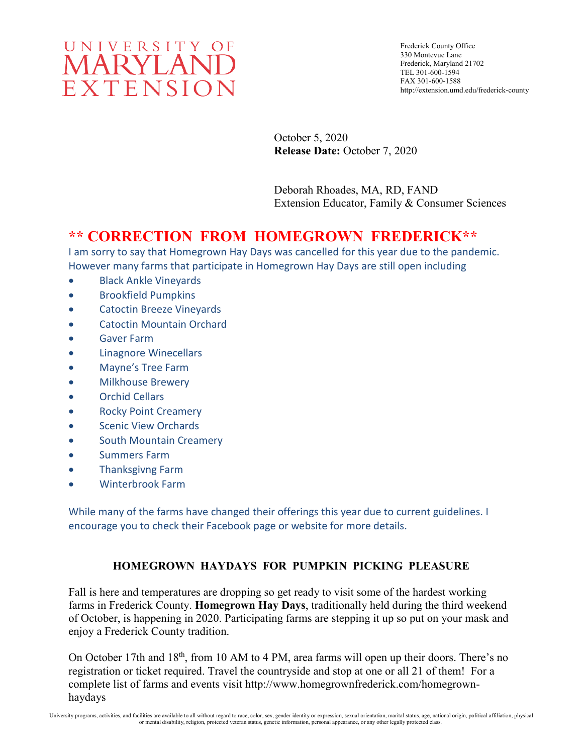

October 5, 2020 **Release Date:** October 7, 2020

Deborah Rhoades, MA, RD, FAND Extension Educator, Family & Consumer Sciences

# **\*\* CORRECTION FROM HOMEGROWN FREDERICK\*\***

I am sorry to say that Homegrown Hay Days was cancelled for this year due to the pandemic. However many farms that participate in Homegrown Hay Days are still open including

- Black Ankle Vineyards
- Brookfield Pumpkins
- Catoctin Breeze Vineyards
- Catoctin Mountain Orchard
- Gaver Farm
- Linagnore Winecellars
- Mayne's Tree Farm
- Milkhouse Brewery
- Orchid Cellars
- Rocky Point Creamery
- Scenic View Orchards
- South Mountain Creamery
- Summers Farm
- Thanksgivng Farm
- Winterbrook Farm

While many of the farms have changed their offerings this year due to current guidelines. I encourage you to check their Facebook page or website for more details.

## **HOMEGROWN HAYDAYS FOR PUMPKIN PICKING PLEASURE**

Fall is here and temperatures are dropping so get ready to visit some of the hardest working farms in Frederick County. **Homegrown Hay Days**, traditionally held during the third weekend of October, is happening in 2020. Participating farms are stepping it up so put on your mask and enjoy a Frederick County tradition.

On October 17th and 18<sup>th</sup>, from 10 AM to 4 PM, area farms will open up their doors. There's no registration or ticket required. Travel the countryside and stop at one or all 21 of them! For a complete list of farms and events visit http://www.homegrownfrederick.com/homegrownhaydays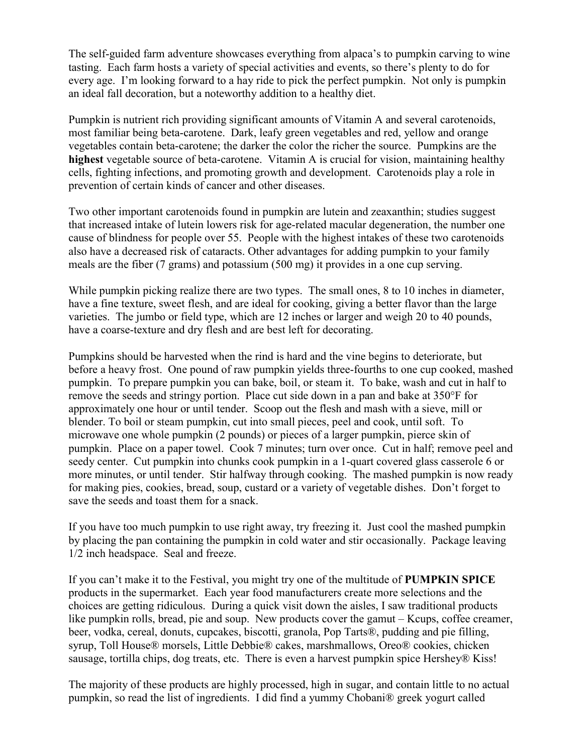The self-guided farm adventure showcases everything from alpaca's to pumpkin carving to wine tasting. Each farm hosts a variety of special activities and events, so there's plenty to do for every age. I'm looking forward to a hay ride to pick the perfect pumpkin. Not only is pumpkin an ideal fall decoration, but a noteworthy addition to a healthy diet.

Pumpkin is nutrient rich providing significant amounts of Vitamin A and several carotenoids, most familiar being beta-carotene. Dark, leafy green vegetables and red, yellow and orange vegetables contain beta-carotene; the darker the color the richer the source. Pumpkins are the **highest** vegetable source of beta-carotene. Vitamin A is crucial for vision, maintaining healthy cells, fighting infections, and promoting growth and development. Carotenoids play a role in prevention of certain kinds of cancer and other diseases.

Two other important carotenoids found in pumpkin are lutein and zeaxanthin; studies suggest that increased intake of lutein lowers risk for age-related macular degeneration, the number one cause of blindness for people over 55. People with the highest intakes of these two carotenoids also have a decreased risk of cataracts. Other advantages for adding pumpkin to your family meals are the fiber (7 grams) and potassium (500 mg) it provides in a one cup serving.

While pumpkin picking realize there are two types. The small ones, 8 to 10 inches in diameter, have a fine texture, sweet flesh, and are ideal for cooking, giving a better flavor than the large varieties. The jumbo or field type, which are 12 inches or larger and weigh 20 to 40 pounds, have a coarse-texture and dry flesh and are best left for decorating.

Pumpkins should be harvested when the rind is hard and the vine begins to deteriorate, but before a heavy frost. One pound of raw pumpkin yields three-fourths to one cup cooked, mashed pumpkin. To prepare pumpkin you can bake, boil, or steam it. To bake, wash and cut in half to remove the seeds and stringy portion. Place cut side down in a pan and bake at 350°F for approximately one hour or until tender. Scoop out the flesh and mash with a sieve, mill or blender. To boil or steam pumpkin, cut into small pieces, peel and cook, until soft. To microwave one whole pumpkin (2 pounds) or pieces of a larger pumpkin, pierce skin of pumpkin. Place on a paper towel. Cook 7 minutes; turn over once. Cut in half; remove peel and seedy center. Cut pumpkin into chunks cook pumpkin in a 1-quart covered glass casserole 6 or more minutes, or until tender. Stir halfway through cooking. The mashed pumpkin is now ready for making pies, cookies, bread, soup, custard or a variety of vegetable dishes. Don't forget to save the seeds and toast them for a snack.

If you have too much pumpkin to use right away, try freezing it. Just cool the mashed pumpkin by placing the pan containing the pumpkin in cold water and stir occasionally. Package leaving 1/2 inch headspace. Seal and freeze.

If you can't make it to the Festival, you might try one of the multitude of **PUMPKIN SPICE** products in the supermarket. Each year food manufacturers create more selections and the choices are getting ridiculous. During a quick visit down the aisles, I saw traditional products like pumpkin rolls, bread, pie and soup. New products cover the gamut – Kcups, coffee creamer, beer, vodka, cereal, donuts, cupcakes, biscotti, granola, Pop Tarts®, pudding and pie filling, syrup, Toll House® morsels, Little Debbie® cakes, marshmallows, Oreo® cookies, chicken sausage, tortilla chips, dog treats, etc. There is even a harvest pumpkin spice Hershey® Kiss!

The majority of these products are highly processed, high in sugar, and contain little to no actual pumpkin, so read the list of ingredients. I did find a yummy Chobani® greek yogurt called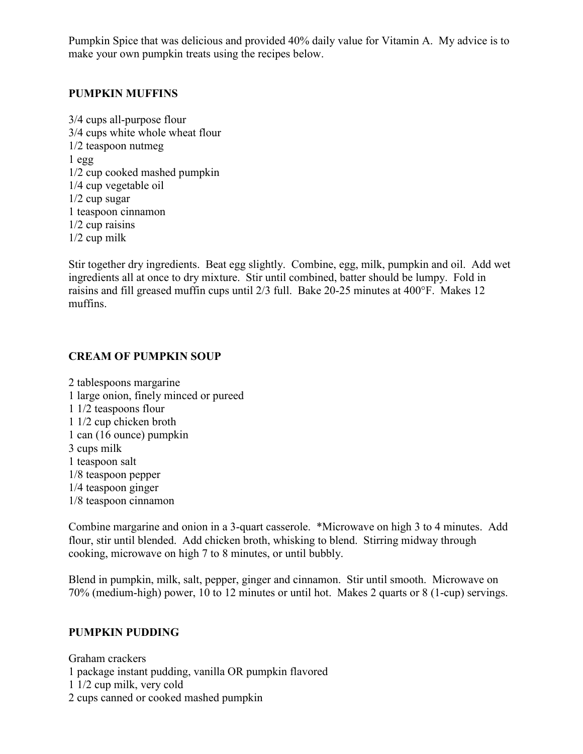Pumpkin Spice that was delicious and provided 40% daily value for Vitamin A. My advice is to make your own pumpkin treats using the recipes below.

#### **PUMPKIN MUFFINS**

3/4 cups all-purpose flour 3/4 cups white whole wheat flour 1/2 teaspoon nutmeg  $1 \text{ egg}$ 1/2 cup cooked mashed pumpkin 1/4 cup vegetable oil 1/2 cup sugar 1 teaspoon cinnamon 1/2 cup raisins 1/2 cup milk

Stir together dry ingredients. Beat egg slightly. Combine, egg, milk, pumpkin and oil. Add wet ingredients all at once to dry mixture. Stir until combined, batter should be lumpy. Fold in raisins and fill greased muffin cups until 2/3 full. Bake 20-25 minutes at 400°F. Makes 12 muffins.

# **CREAM OF PUMPKIN SOUP**

2 tablespoons margarine 1 large onion, finely minced or pureed 1 1/2 teaspoons flour 1 1/2 cup chicken broth 1 can (16 ounce) pumpkin 3 cups milk 1 teaspoon salt 1/8 teaspoon pepper 1/4 teaspoon ginger 1/8 teaspoon cinnamon

Combine margarine and onion in a 3-quart casserole. \*Microwave on high 3 to 4 minutes. Add flour, stir until blended. Add chicken broth, whisking to blend. Stirring midway through cooking, microwave on high 7 to 8 minutes, or until bubbly.

Blend in pumpkin, milk, salt, pepper, ginger and cinnamon. Stir until smooth. Microwave on 70% (medium-high) power, 10 to 12 minutes or until hot. Makes 2 quarts or 8 (1-cup) servings.

## **PUMPKIN PUDDING**

Graham crackers 1 package instant pudding, vanilla OR pumpkin flavored 1 1/2 cup milk, very cold 2 cups canned or cooked mashed pumpkin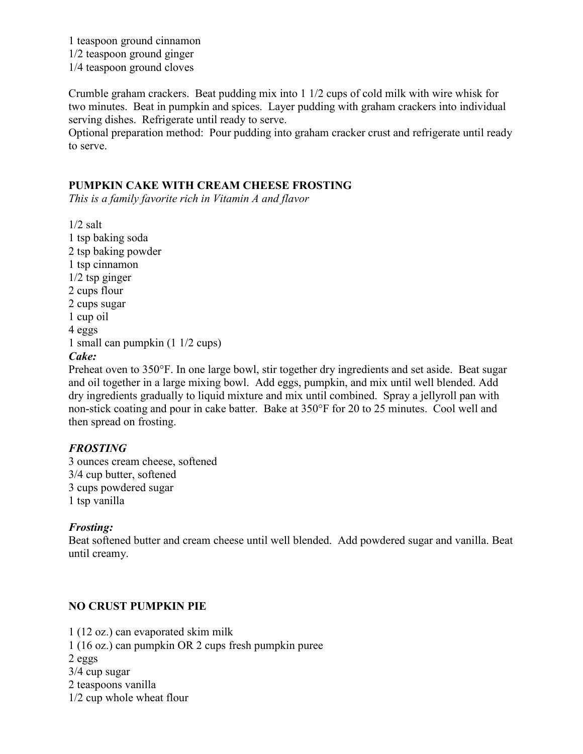1 teaspoon ground cinnamon 1/2 teaspoon ground ginger 1/4 teaspoon ground cloves

Crumble graham crackers. Beat pudding mix into 1 1/2 cups of cold milk with wire whisk for two minutes. Beat in pumpkin and spices. Layer pudding with graham crackers into individual serving dishes. Refrigerate until ready to serve.

Optional preparation method: Pour pudding into graham cracker crust and refrigerate until ready to serve.

#### **PUMPKIN CAKE WITH CREAM CHEESE FROSTING**

*This is a family favorite rich in Vitamin A and flavor*

 $1/2$  salt 1 tsp baking soda 2 tsp baking powder 1 tsp cinnamon 1/2 tsp ginger 2 cups flour 2 cups sugar 1 cup oil 4 eggs 1 small can pumpkin (1 1/2 cups) *Cake:*

Preheat oven to 350°F. In one large bowl, stir together dry ingredients and set aside. Beat sugar and oil together in a large mixing bowl. Add eggs, pumpkin, and mix until well blended. Add dry ingredients gradually to liquid mixture and mix until combined. Spray a jellyroll pan with non-stick coating and pour in cake batter. Bake at 350°F for 20 to 25 minutes. Cool well and then spread on frosting.

#### *FROSTING*

3 ounces cream cheese, softened 3/4 cup butter, softened 3 cups powdered sugar 1 tsp vanilla

#### *Frosting:*

Beat softened butter and cream cheese until well blended. Add powdered sugar and vanilla. Beat until creamy.

## **NO CRUST PUMPKIN PIE**

1 (12 oz.) can evaporated skim milk 1 (16 oz.) can pumpkin OR 2 cups fresh pumpkin puree 2 eggs 3/4 cup sugar 2 teaspoons vanilla 1/2 cup whole wheat flour